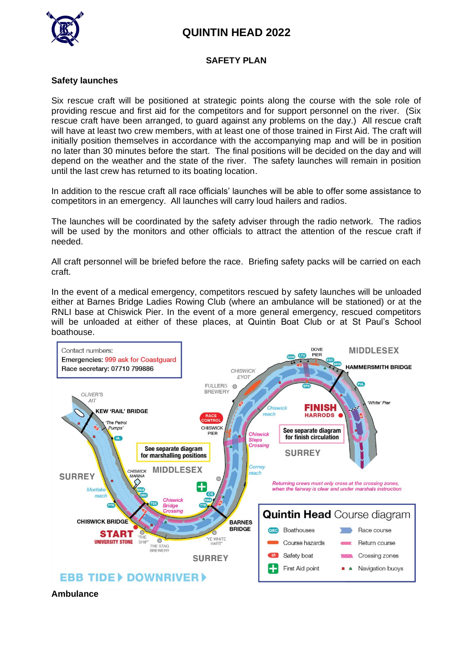# **QUINTIN HEAD 2022**



#### **SAFETY PLAN**

#### **Safety launches**

Six rescue craft will be positioned at strategic points along the course with the sole role of providing rescue and first aid for the competitors and for support personnel on the river. (Six rescue craft have been arranged, to guard against any problems on the day.) All rescue craft will have at least two crew members, with at least one of those trained in First Aid. The craft will initially position themselves in accordance with the accompanying map and will be in position no later than 30 minutes before the start. The final positions will be decided on the day and will depend on the weather and the state of the river. The safety launches will remain in position until the last crew has returned to its boating location.

In addition to the rescue craft all race officials' launches will be able to offer some assistance to competitors in an emergency. All launches will carry loud hailers and radios.

The launches will be coordinated by the safety adviser through the radio network. The radios will be used by the monitors and other officials to attract the attention of the rescue craft if needed.

All craft personnel will be briefed before the race. Briefing safety packs will be carried on each craft.

In the event of a medical emergency, competitors rescued by safety launches will be unloaded either at Barnes Bridge Ladies Rowing Club (where an ambulance will be stationed) or at the RNLI base at Chiswick Pier. In the event of a more general emergency, rescued competitors will be unloaded at either of these places, at Quintin Boat Club or at St Paul's School boathouse.



**Ambulance**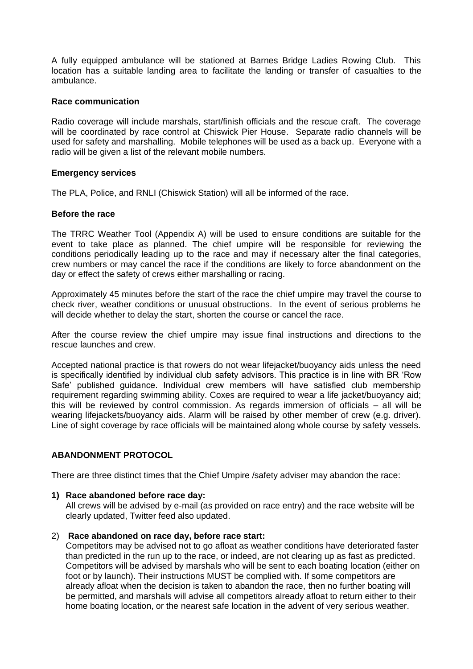A fully equipped ambulance will be stationed at Barnes Bridge Ladies Rowing Club. This location has a suitable landing area to facilitate the landing or transfer of casualties to the ambulance.

#### **Race communication**

Radio coverage will include marshals, start/finish officials and the rescue craft. The coverage will be coordinated by race control at Chiswick Pier House. Separate radio channels will be used for safety and marshalling. Mobile telephones will be used as a back up. Everyone with a radio will be given a list of the relevant mobile numbers.

#### **Emergency services**

The PLA, Police, and RNLI (Chiswick Station) will all be informed of the race.

#### **Before the race**

The TRRC Weather Tool (Appendix A) will be used to ensure conditions are suitable for the event to take place as planned. The chief umpire will be responsible for reviewing the conditions periodically leading up to the race and may if necessary alter the final categories, crew numbers or may cancel the race if the conditions are likely to force abandonment on the day or effect the safety of crews either marshalling or racing.

Approximately 45 minutes before the start of the race the chief umpire may travel the course to check river, weather conditions or unusual obstructions. In the event of serious problems he will decide whether to delay the start, shorten the course or cancel the race.

After the course review the chief umpire may issue final instructions and directions to the rescue launches and crew.

Accepted national practice is that rowers do not wear lifejacket/buoyancy aids unless the need is specifically identified by individual club safety advisors. This practice is in line with BR 'Row Safe' published guidance. Individual crew members will have satisfied club membership requirement regarding swimming ability. Coxes are required to wear a life jacket/buoyancy aid; this will be reviewed by control commission. As regards immersion of officials – all will be wearing lifejackets/buoyancy aids. Alarm will be raised by other member of crew (e.g. driver). Line of sight coverage by race officials will be maintained along whole course by safety vessels.

#### **ABANDONMENT PROTOCOL**

There are three distinct times that the Chief Umpire /safety adviser may abandon the race:

#### **1) Race abandoned before race day:**

All crews will be advised by e-mail (as provided on race entry) and the race website will be clearly updated, Twitter feed also updated.

2) **Race abandoned on race day, before race start:**

Competitors may be advised not to go afloat as weather conditions have deteriorated faster than predicted in the run up to the race, or indeed, are not clearing up as fast as predicted. Competitors will be advised by marshals who will be sent to each boating location (either on foot or by launch). Their instructions MUST be complied with. If some competitors are already afloat when the decision is taken to abandon the race, then no further boating will be permitted, and marshals will advise all competitors already afloat to return either to their home boating location, or the nearest safe location in the advent of very serious weather.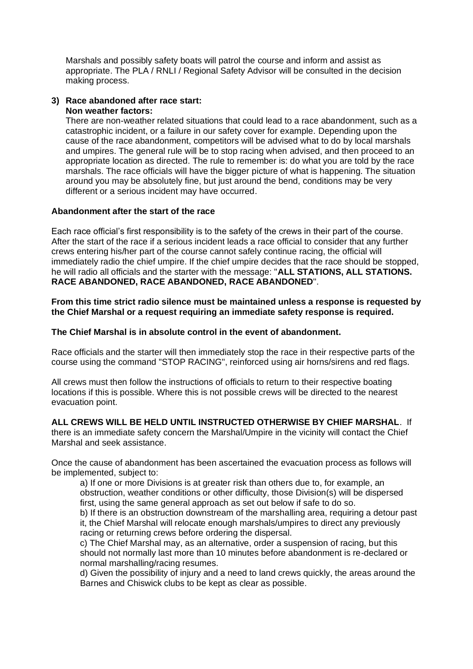Marshals and possibly safety boats will patrol the course and inform and assist as appropriate. The PLA / RNLI / Regional Safety Advisor will be consulted in the decision making process.

# **3) Race abandoned after race start:**

#### **Non weather factors:**

There are non-weather related situations that could lead to a race abandonment, such as a catastrophic incident, or a failure in our safety cover for example. Depending upon the cause of the race abandonment, competitors will be advised what to do by local marshals and umpires. The general rule will be to stop racing when advised, and then proceed to an appropriate location as directed. The rule to remember is: do what you are told by the race marshals. The race officials will have the bigger picture of what is happening. The situation around you may be absolutely fine, but just around the bend, conditions may be very different or a serious incident may have occurred.

#### **Abandonment after the start of the race**

Each race official's first responsibility is to the safety of the crews in their part of the course. After the start of the race if a serious incident leads a race official to consider that any further crews entering his/her part of the course cannot safely continue racing, the official will immediately radio the chief umpire. If the chief umpire decides that the race should be stopped, he will radio all officials and the starter with the message: "**ALL STATIONS, ALL STATIONS. RACE ABANDONED, RACE ABANDONED, RACE ABANDONED**".

**From this time strict radio silence must be maintained unless a response is requested by the Chief Marshal or a request requiring an immediate safety response is required.**

**The Chief Marshal is in absolute control in the event of abandonment.**

Race officials and the starter will then immediately stop the race in their respective parts of the course using the command "STOP RACING", reinforced using air horns/sirens and red flags.

All crews must then follow the instructions of officials to return to their respective boating locations if this is possible. Where this is not possible crews will be directed to the nearest evacuation point.

**ALL CREWS WILL BE HELD UNTIL INSTRUCTED OTHERWISE BY CHIEF MARSHAL**. If there is an immediate safety concern the Marshal/Umpire in the vicinity will contact the Chief Marshal and seek assistance.

Once the cause of abandonment has been ascertained the evacuation process as follows will be implemented, subject to:

a) If one or more Divisions is at greater risk than others due to, for example, an obstruction, weather conditions or other difficulty, those Division(s) will be dispersed first, using the same general approach as set out below if safe to do so.

b) If there is an obstruction downstream of the marshalling area, requiring a detour past it, the Chief Marshal will relocate enough marshals/umpires to direct any previously racing or returning crews before ordering the dispersal.

c) The Chief Marshal may, as an alternative, order a suspension of racing, but this should not normally last more than 10 minutes before abandonment is re-declared or normal marshalling/racing resumes.

d) Given the possibility of injury and a need to land crews quickly, the areas around the Barnes and Chiswick clubs to be kept as clear as possible.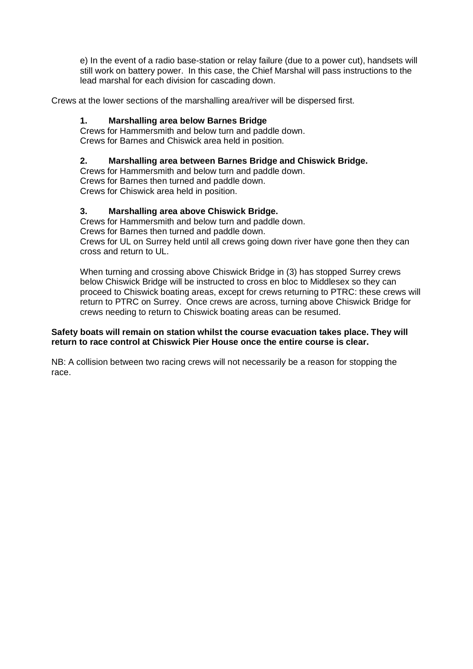e) In the event of a radio base-station or relay failure (due to a power cut), handsets will still work on battery power. In this case, the Chief Marshal will pass instructions to the lead marshal for each division for cascading down.

Crews at the lower sections of the marshalling area/river will be dispersed first.

#### **1. Marshalling area below Barnes Bridge**

Crews for Hammersmith and below turn and paddle down. Crews for Barnes and Chiswick area held in position.

#### **2. Marshalling area between Barnes Bridge and Chiswick Bridge.**

Crews for Hammersmith and below turn and paddle down. Crews for Barnes then turned and paddle down. Crews for Chiswick area held in position.

#### **3. Marshalling area above Chiswick Bridge.**

Crews for Hammersmith and below turn and paddle down.

Crews for Barnes then turned and paddle down.

Crews for UL on Surrey held until all crews going down river have gone then they can cross and return to UL.

When turning and crossing above Chiswick Bridge in (3) has stopped Surrey crews below Chiswick Bridge will be instructed to cross en bloc to Middlesex so they can proceed to Chiswick boating areas, except for crews returning to PTRC: these crews will return to PTRC on Surrey. Once crews are across, turning above Chiswick Bridge for crews needing to return to Chiswick boating areas can be resumed.

#### **Safety boats will remain on station whilst the course evacuation takes place. They will return to race control at Chiswick Pier House once the entire course is clear.**

NB: A collision between two racing crews will not necessarily be a reason for stopping the race.